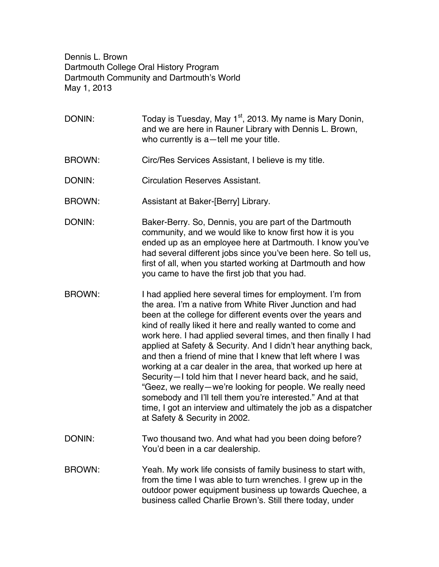Dennis L. Brown Dartmouth College Oral History Program Dartmouth Community and Dartmouth's World May 1, 2013

- DONIN: Today is Tuesday, May  $1<sup>st</sup>$ , 2013. My name is Mary Donin, and we are here in Rauner Library with Dennis L. Brown, who currently is a—tell me your title.
- BROWN: Circ/Res Services Assistant, I believe is my title.
- DONIN: Circulation Reserves Assistant.
- BROWN: Assistant at Baker-[Berry] Library.
- DONIN: Baker-Berry. So, Dennis, you are part of the Dartmouth community, and we would like to know first how it is you ended up as an employee here at Dartmouth. I know you've had several different jobs since you've been here. So tell us, first of all, when you started working at Dartmouth and how you came to have the first job that you had.
- BROWN: I had applied here several times for employment. I'm from the area. I'm a native from White River Junction and had been at the college for different events over the years and kind of really liked it here and really wanted to come and work here. I had applied several times, and then finally I had applied at Safety & Security. And I didn't hear anything back, and then a friend of mine that I knew that left where I was working at a car dealer in the area, that worked up here at Security—I told him that I never heard back, and he said, "Geez, we really—we're looking for people. We really need somebody and I'll tell them you're interested." And at that time, I got an interview and ultimately the job as a dispatcher at Safety & Security in 2002.
- DONIN: Two thousand two. And what had you been doing before? You'd been in a car dealership.
- BROWN: Yeah. My work life consists of family business to start with, from the time I was able to turn wrenches. I grew up in the outdoor power equipment business up towards Quechee, a business called Charlie Brown's. Still there today, under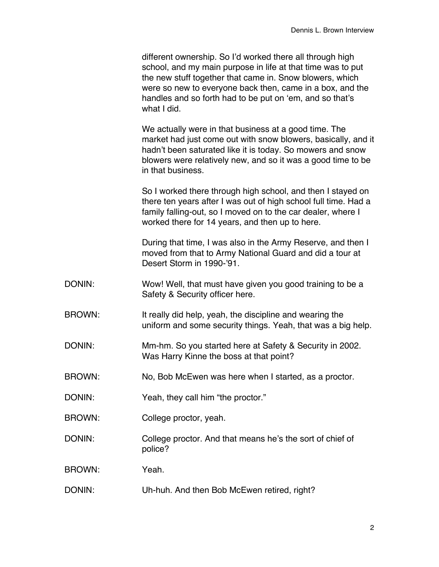different ownership. So I'd worked there all through high school, and my main purpose in life at that time was to put the new stuff together that came in. Snow blowers, which were so new to everyone back then, came in a box, and the handles and so forth had to be put on 'em, and so that's what I did.

We actually were in that business at a good time. The market had just come out with snow blowers, basically, and it hadn't been saturated like it is today. So mowers and snow blowers were relatively new, and so it was a good time to be in that business.

So I worked there through high school, and then I stayed on there ten years after I was out of high school full time. Had a family falling-out, so I moved on to the car dealer, where I worked there for 14 years, and then up to here.

During that time, I was also in the Army Reserve, and then I moved from that to Army National Guard and did a tour at Desert Storm in 1990-'91.

- DONIN: Wow! Well, that must have given you good training to be a Safety & Security officer here.
- BROWN: It really did help, yeah, the discipline and wearing the uniform and some security things. Yeah, that was a big help.
- DONIN: Mm-hm. So you started here at Safety & Security in 2002. Was Harry Kinne the boss at that point?
- BROWN: No, Bob McEwen was here when I started, as a proctor.

DONIN: Yeah, they call him "the proctor."

- BROWN: College proctor, yeah.
- DONIN: College proctor. And that means he's the sort of chief of police?

BROWN: Yeah.

DONIN: Uh-huh. And then Bob McEwen retired, right?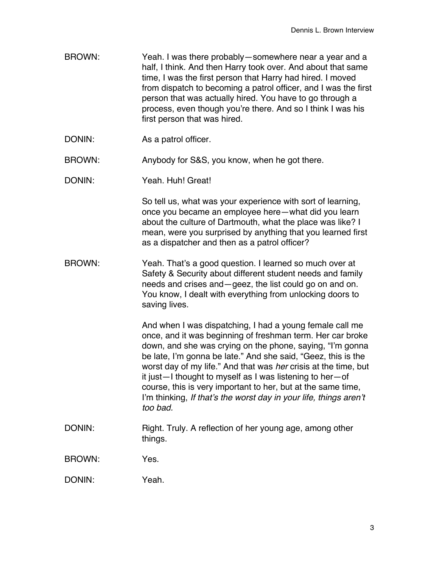- BROWN: Yeah. I was there probably—somewhere near a year and a half, I think. And then Harry took over. And about that same time, I was the first person that Harry had hired. I moved from dispatch to becoming a patrol officer, and I was the first person that was actually hired. You have to go through a process, even though you're there. And so I think I was his first person that was hired.
- DONIN: As a patrol officer.

BROWN: Anybody for S&S, you know, when he got there.

DONIN: Yeah. Huh! Great!

So tell us, what was your experience with sort of learning, once you became an employee here—what did you learn about the culture of Dartmouth, what the place was like? I mean, were you surprised by anything that you learned first as a dispatcher and then as a patrol officer?

BROWN: Yeah. That's a good question. I learned so much over at Safety & Security about different student needs and family needs and crises and—geez, the list could go on and on. You know, I dealt with everything from unlocking doors to saving lives.

> And when I was dispatching, I had a young female call me once, and it was beginning of freshman term. Her car broke down, and she was crying on the phone, saying, "I'm gonna be late, I'm gonna be late." And she said, "Geez, this is the worst day of my life." And that was *her* crisis at the time, but it just—I thought to myself as I was listening to her—of course, this is very important to her, but at the same time, I'm thinking, *If that's the worst day in your life, things aren't too bad.*

DONIN: Right. Truly. A reflection of her young age, among other things.

BROWN: Yes.

DONIN: Yeah.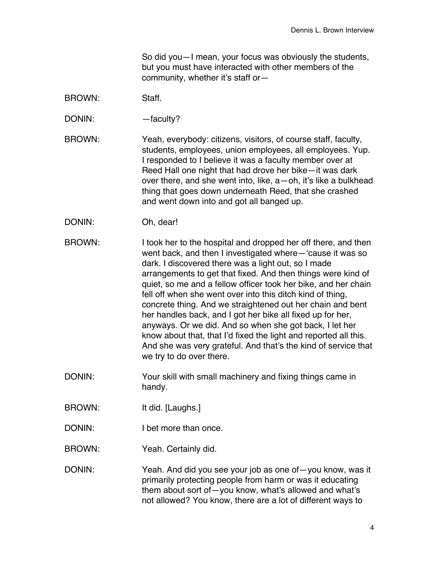So did you—I mean, your focus was obviously the students, but you must have interacted with other members of the community, whether it's staff or—

- BROWN: Staff.
- DONIN: faculty?
- BROWN: Yeah, everybody: citizens, visitors, of course staff, faculty, students, employees, union employees, all employees. Yup. I responded to I believe it was a faculty member over at Reed Hall one night that had drove her bike—it was dark over there, and she went into, like, a—oh, it's like a bulkhead thing that goes down underneath Reed, that she crashed and went down into and got all banged up.
- DONIN: Oh, dear!
- BROWN: I took her to the hospital and dropped her off there, and then went back, and then I investigated where—'cause it was so dark. I discovered there was a light out, so I made arrangements to get that fixed. And then things were kind of quiet, so me and a fellow officer took her bike, and her chain fell off when she went over into this ditch kind of thing, concrete thing. And we straightened out her chain and bent her handles back, and I got her bike all fixed up for her, anyways. Or we did. And so when she got back, I let her know about that, that I'd fixed the light and reported all this. And she was very grateful. And that's the kind of service that we try to do over there.
- DONIN: Your skill with small machinery and fixing things came in handy.
- BROWN: It did. [Laughs.]
- DONIN: I bet more than once.
- BROWN: Yeah. Certainly did.
- DONIN: Yeah. And did you see your job as one of—you know, was it primarily protecting people from harm or was it educating them about sort of—you know, what's allowed and what's not allowed? You know, there are a lot of different ways to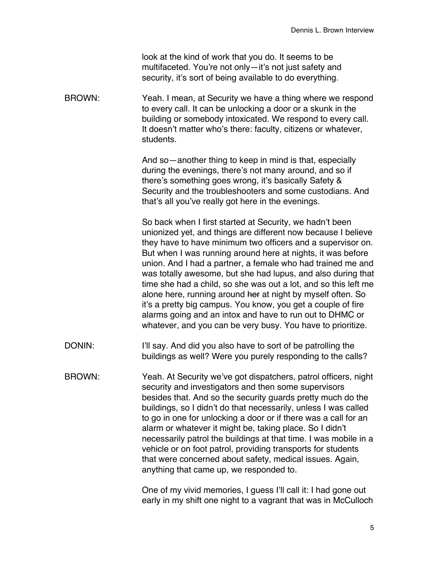look at the kind of work that you do. It seems to be multifaceted. You're not only—it's not just safety and security, it's sort of being available to do everything.

BROWN: Yeah. I mean, at Security we have a thing where we respond to every call. It can be unlocking a door or a skunk in the building or somebody intoxicated. We respond to every call. It doesn't matter who's there: faculty, citizens or whatever, students.

> And so—another thing to keep in mind is that, especially during the evenings, there's not many around, and so if there's something goes wrong, it's basically Safety & Security and the troubleshooters and some custodians. And that's all you've really got here in the evenings.

So back when I first started at Security, we hadn't been unionized yet, and things are different now because I believe they have to have minimum two officers and a supervisor on. But when I was running around here at nights, it was before union. And I had a partner, a female who had trained me and was totally awesome, but she had lupus, and also during that time she had a child, so she was out a lot, and so this left me alone here, running around her at night by myself often. So it's a pretty big campus. You know, you get a couple of fire alarms going and an intox and have to run out to DHMC or whatever, and you can be very busy. You have to prioritize.

- DONIN: I'll say. And did you also have to sort of be patrolling the buildings as well? Were you purely responding to the calls?
- BROWN: Yeah. At Security we've got dispatchers, patrol officers, night security and investigators and then some supervisors besides that. And so the security guards pretty much do the buildings, so I didn't do that necessarily, unless I was called to go in one for unlocking a door or if there was a call for an alarm or whatever it might be, taking place. So I didn't necessarily patrol the buildings at that time. I was mobile in a vehicle or on foot patrol, providing transports for students that were concerned about safety, medical issues. Again, anything that came up, we responded to.

One of my vivid memories, I guess I'll call it: I had gone out early in my shift one night to a vagrant that was in McCulloch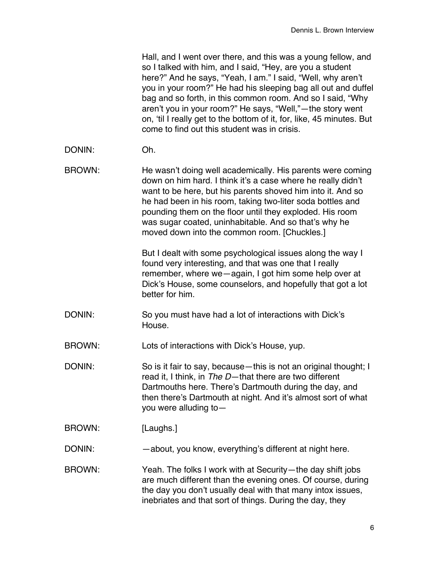Hall, and I went over there, and this was a young fellow, and so I talked with him, and I said, "Hey, are you a student here?" And he says, "Yeah, I am." I said, "Well, why aren't you in your room?" He had his sleeping bag all out and duffel bag and so forth, in this common room. And so I said, "Why aren't you in your room?" He says, "Well,"—the story went on, 'til I really get to the bottom of it, for, like, 45 minutes. But come to find out this student was in crisis.

- DONIN: Oh.
- BROWN: He wasn't doing well academically. His parents were coming down on him hard. I think it's a case where he really didn't want to be here, but his parents shoved him into it. And so he had been in his room, taking two-liter soda bottles and pounding them on the floor until they exploded. His room was sugar coated, uninhabitable. And so that's why he moved down into the common room. [Chuckles.]

But I dealt with some psychological issues along the way I found very interesting, and that was one that I really remember, where we—again, I got him some help over at Dick's House, some counselors, and hopefully that got a lot better for him.

DONIN: So you must have had a lot of interactions with Dick's House.

BROWN: Lots of interactions with Dick's House, yup.

DONIN: So is it fair to say, because—this is not an original thought; I read it, I think, in *The D*—that there are two different Dartmouths here. There's Dartmouth during the day, and then there's Dartmouth at night. And it's almost sort of what you were alluding to—

- BROWN: [Laughs.]
- DONIN: about, you know, everything's different at night here.
- BROWN: Yeah. The folks I work with at Security—the day shift jobs are much different than the evening ones. Of course, during the day you don't usually deal with that many intox issues, inebriates and that sort of things. During the day, they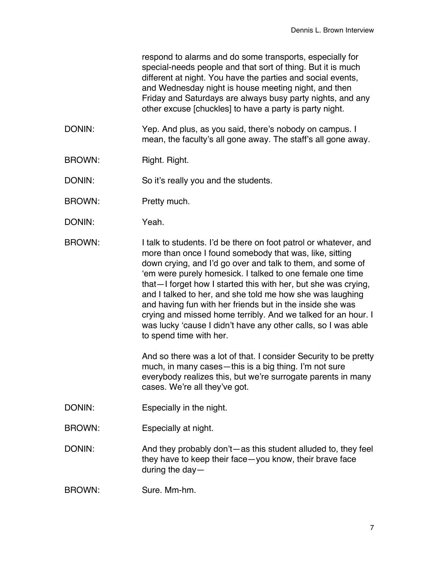respond to alarms and do some transports, especially for special-needs people and that sort of thing. But it is much different at night. You have the parties and social events, and Wednesday night is house meeting night, and then Friday and Saturdays are always busy party nights, and any other excuse [chuckles] to have a party is party night.

- DONIN: Yep. And plus, as you said, there's nobody on campus. I mean, the faculty's all gone away. The staff's all gone away.
- BROWN: Right. Right.

DONIN: So it's really you and the students.

- BROWN: Pretty much.
- DONIN: Yeah.

BROWN: I talk to students. I'd be there on foot patrol or whatever, and more than once I found somebody that was, like, sitting down crying, and I'd go over and talk to them, and some of 'em were purely homesick. I talked to one female one time that—I forget how I started this with her, but she was crying, and I talked to her, and she told me how she was laughing and having fun with her friends but in the inside she was crying and missed home terribly. And we talked for an hour. I was lucky 'cause I didn't have any other calls, so I was able to spend time with her.

> And so there was a lot of that. I consider Security to be pretty much, in many cases—this is a big thing. I'm not sure everybody realizes this, but we're surrogate parents in many cases. We're all they've got.

- DONIN: Especially in the night.
- BROWN: Especially at night.

DONIN: And they probably don't—as this student alluded to, they feel they have to keep their face—you know, their brave face during the day—

BROWN: Sure. Mm-hm.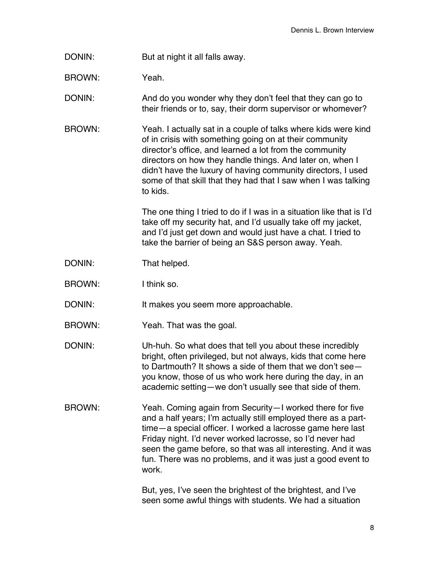DONIN: But at night it all falls away.

BROWN: Yeah.

DONIN: And do you wonder why they don't feel that they can go to their friends or to, say, their dorm supervisor or whomever?

BROWN: Yeah. I actually sat in a couple of talks where kids were kind of in crisis with something going on at their community director's office, and learned a lot from the community directors on how they handle things. And later on, when I didn't have the luxury of having community directors, I used some of that skill that they had that I saw when I was talking to kids.

> The one thing I tried to do if I was in a situation like that is I'd take off my security hat, and I'd usually take off my jacket, and I'd just get down and would just have a chat. I tried to take the barrier of being an S&S person away. Yeah.

- DONIN: That helped.
- BROWN: I think so.
- DONIN: It makes you seem more approachable.
- BROWN: Yeah. That was the goal.
- DONIN: Uh-huh. So what does that tell you about these incredibly bright, often privileged, but not always, kids that come here to Dartmouth? It shows a side of them that we don't see you know, those of us who work here during the day, in an academic setting—we don't usually see that side of them.
- BROWN: Yeah. Coming again from Security—I worked there for five and a half years; I'm actually still employed there as a parttime—a special officer. I worked a lacrosse game here last Friday night. I'd never worked lacrosse, so I'd never had seen the game before, so that was all interesting. And it was fun. There was no problems, and it was just a good event to work.

But, yes, I've seen the brightest of the brightest, and I've seen some awful things with students. We had a situation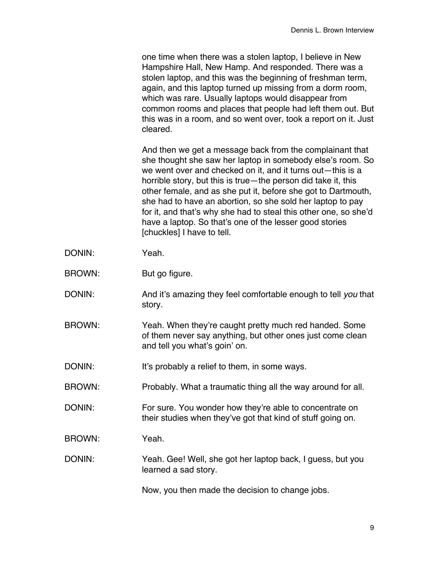one time when there was a stolen laptop, I believe in New Hampshire Hall, New Hamp. And responded. There was a stolen laptop, and this was the beginning of freshman term, again, and this laptop turned up missing from a dorm room, which was rare. Usually laptops would disappear from common rooms and places that people had left them out. But this was in a room, and so went over, took a report on it. Just cleared.

And then we get a message back from the complainant that she thought she saw her laptop in somebody else's room. So we went over and checked on it, and it turns out—this is a horrible story, but this is true—the person did take it, this other female, and as she put it, before she got to Dartmouth, she had to have an abortion, so she sold her laptop to pay for it, and that's why she had to steal this other one, so she'd have a laptop. So that's one of the lesser good stories [chuckles] I have to tell.

- DONIN: Yeah.
- BROWN: But go figure.
- DONIN: And it's amazing they feel comfortable enough to tell *you* that story.
- BROWN: Yeah. When they're caught pretty much red handed. Some of them never say anything, but other ones just come clean and tell you what's goin' on.
- DONIN: It's probably a relief to them, in some ways.
- BROWN: Probably. What a traumatic thing all the way around for all.
- DONIN: For sure. You wonder how they're able to concentrate on their studies when they've got that kind of stuff going on.
- BROWN: Yeah.
- DONIN: Yeah. Gee! Well, she got her laptop back, I guess, but you learned a sad story.

Now, you then made the decision to change jobs.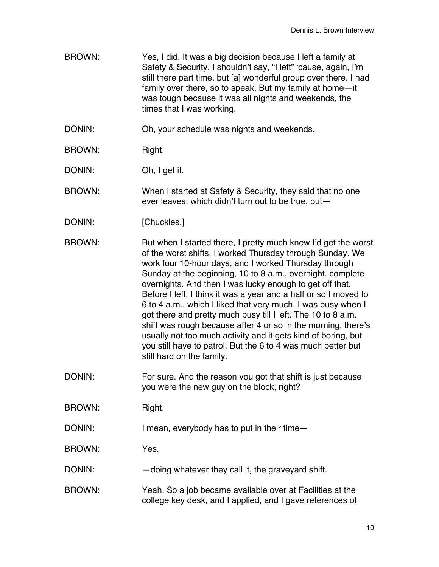- BROWN: Yes, I did. It was a big decision because I left a family at Safety & Security. I shouldn't say, "I left" 'cause, again, I'm still there part time, but [a] wonderful group over there. I had family over there, so to speak. But my family at home—it was tough because it was all nights and weekends, the times that I was working.
- DONIN: Oh, your schedule was nights and weekends.
- BROWN: Right.
- DONIN: Oh, I get it.

BROWN: When I started at Safety & Security, they said that no one ever leaves, which didn't turn out to be true, but—

DONIN: [Chuckles.]

BROWN: But when I started there, I pretty much knew I'd get the worst of the worst shifts. I worked Thursday through Sunday. We work four 10-hour days, and I worked Thursday through Sunday at the beginning, 10 to 8 a.m., overnight, complete overnights. And then I was lucky enough to get off that. Before I left, I think it was a year and a half or so I moved to 6 to 4 a.m., which I liked that very much. I was busy when I got there and pretty much busy till I left. The 10 to 8 a.m. shift was rough because after 4 or so in the morning, there's usually not too much activity and it gets kind of boring, but you still have to patrol. But the 6 to 4 was much better but still hard on the family.

DONIN: For sure. And the reason you got that shift is just because you were the new guy on the block, right?

BROWN: Right.

DONIN: I mean, everybody has to put in their time-

BROWN: Yes.

- DONIN: doing whatever they call it, the graveyard shift.
- BROWN: Yeah. So a job became available over at Facilities at the college key desk, and I applied, and I gave references of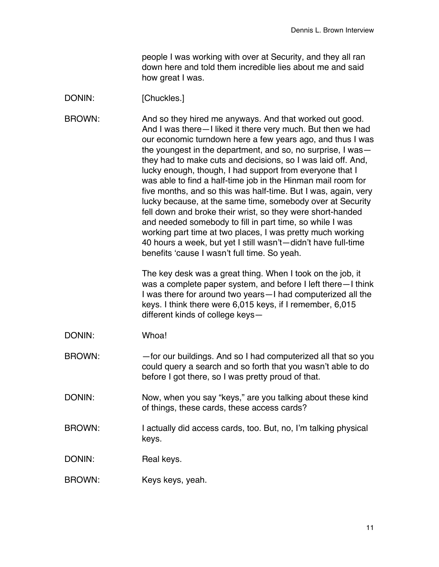people I was working with over at Security, and they all ran down here and told them incredible lies about me and said how great I was.

## DONIN: [Chuckles.]

BROWN: And so they hired me anyways. And that worked out good. And I was there—I liked it there very much. But then we had our economic turndown here a few years ago, and thus I was the youngest in the department, and so, no surprise, I was they had to make cuts and decisions, so I was laid off. And, lucky enough, though, I had support from everyone that I was able to find a half-time job in the Hinman mail room for five months, and so this was half-time. But I was, again, very lucky because, at the same time, somebody over at Security fell down and broke their wrist, so they were short-handed and needed somebody to fill in part time, so while I was working part time at two places, I was pretty much working 40 hours a week, but yet I still wasn't—didn't have full-time benefits 'cause I wasn't full time. So yeah.

> The key desk was a great thing. When I took on the job, it was a complete paper system, and before I left there—I think I was there for around two years—I had computerized all the keys. I think there were 6,015 keys, if I remember, 6,015 different kinds of college keys—

- DONIN: Whoa!
- BROWN: —for our buildings. And so I had computerized all that so you could query a search and so forth that you wasn't able to do before I got there, so I was pretty proud of that.
- DONIN: Now, when you say "keys," are you talking about these kind of things, these cards, these access cards?
- BROWN: I actually did access cards, too. But, no, I'm talking physical keys.
- DONIN: Real keys.
- BROWN: Keys keys, yeah.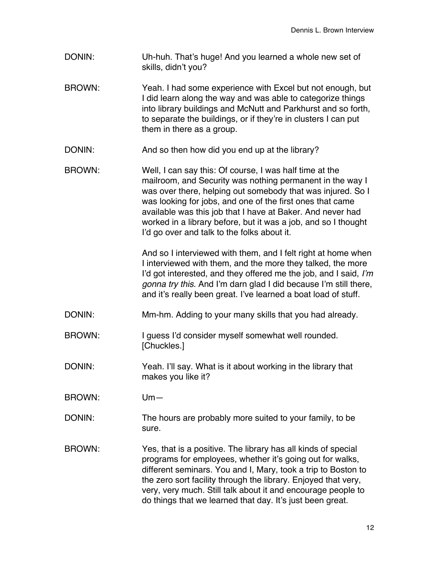- DONIN: Uh-huh. That's huge! And you learned a whole new set of skills, didn't you?
- BROWN: Yeah. I had some experience with Excel but not enough, but I did learn along the way and was able to categorize things into library buildings and McNutt and Parkhurst and so forth, to separate the buildings, or if they're in clusters I can put them in there as a group.
- DONIN: And so then how did you end up at the library?
- BROWN: Well, I can say this: Of course, I was half time at the mailroom, and Security was nothing permanent in the way I was over there, helping out somebody that was injured. So I was looking for jobs, and one of the first ones that came available was this job that I have at Baker. And never had worked in a library before, but it was a job, and so I thought I'd go over and talk to the folks about it.

And so I interviewed with them, and I felt right at home when I interviewed with them, and the more they talked, the more I'd got interested, and they offered me the job, and I said, *I'm gonna try this.* And I'm darn glad I did because I'm still there, and it's really been great. I've learned a boat load of stuff.

- DONIN: Mm-hm. Adding to your many skills that you had already.
- BROWN: I guess I'd consider myself somewhat well rounded. [Chuckles.]
- DONIN: Yeah. I'll say. What is it about working in the library that makes you like it?

BROWN: Um—

- DONIN: The hours are probably more suited to your family, to be sure.
- BROWN: Yes, that is a positive. The library has all kinds of special programs for employees, whether it's going out for walks, different seminars. You and I, Mary, took a trip to Boston to the zero sort facility through the library. Enjoyed that very, very, very much. Still talk about it and encourage people to do things that we learned that day. It's just been great.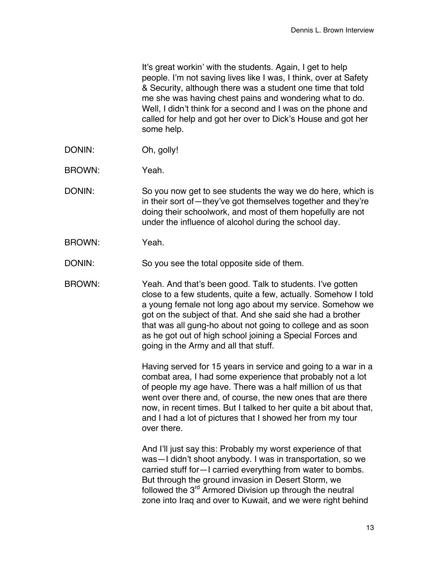It's great workin' with the students. Again, I get to help people. I'm not saving lives like I was, I think, over at Safety & Security, although there was a student one time that told me she was having chest pains and wondering what to do. Well, I didn't think for a second and I was on the phone and called for help and got her over to Dick's House and got her some help.

- DONIN: Oh, golly!
- BROWN: Yeah.
- DONIN: So you now get to see students the way we do here, which is in their sort of—they've got themselves together and they're doing their schoolwork, and most of them hopefully are not under the influence of alcohol during the school day.
- BROWN: Yeah.

DONIN: So you see the total opposite side of them.

BROWN: Yeah. And that's been good. Talk to students. I've gotten close to a few students, quite a few, actually. Somehow I told a young female not long ago about my service. Somehow we got on the subject of that. And she said she had a brother that was all gung-ho about not going to college and as soon as he got out of high school joining a Special Forces and going in the Army and all that stuff.

> Having served for 15 years in service and going to a war in a combat area, I had some experience that probably not a lot of people my age have. There was a half million of us that went over there and, of course, the new ones that are there now, in recent times. But I talked to her quite a bit about that, and I had a lot of pictures that I showed her from my tour over there.

And I'll just say this: Probably my worst experience of that was—I didn't shoot anybody. I was in transportation, so we carried stuff for—I carried everything from water to bombs. But through the ground invasion in Desert Storm, we followed the 3<sup>rd</sup> Armored Division up through the neutral zone into Iraq and over to Kuwait, and we were right behind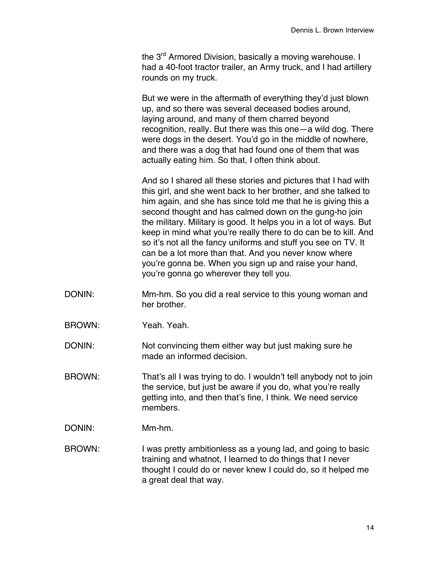the 3<sup>rd</sup> Armored Division, basically a moving warehouse. I had a 40-foot tractor trailer, an Army truck, and I had artillery rounds on my truck.

But we were in the aftermath of everything they'd just blown up, and so there was several deceased bodies around, laying around, and many of them charred beyond recognition, really. But there was this one—a wild dog. There were dogs in the desert. You'd go in the middle of nowhere, and there was a dog that had found one of them that was actually eating him. So that, I often think about.

And so I shared all these stories and pictures that I had with this girl, and she went back to her brother, and she talked to him again, and she has since told me that he is giving this a second thought and has calmed down on the gung-ho join the military. Military is good. It helps you in a lot of ways. But keep in mind what you're really there to do can be to kill. And so it's not all the fancy uniforms and stuff you see on TV. It can be a lot more than that. And you never know where you're gonna be. When you sign up and raise your hand, you're gonna go wherever they tell you.

- DONIN: Mm-hm. So you did a real service to this young woman and her brother.
- BROWN: Yeah. Yeah.

DONIN: Not convincing them either way but just making sure he made an informed decision.

- BROWN: That's all I was trying to do. I wouldn't tell anybody not to join the service, but just be aware if you do, what you're really getting into, and then that's fine, I think. We need service members.
- DONIN: Mm-hm.

BROWN: I was pretty ambitionless as a young lad, and going to basic training and whatnot, I learned to do things that I never thought I could do or never knew I could do, so it helped me a great deal that way.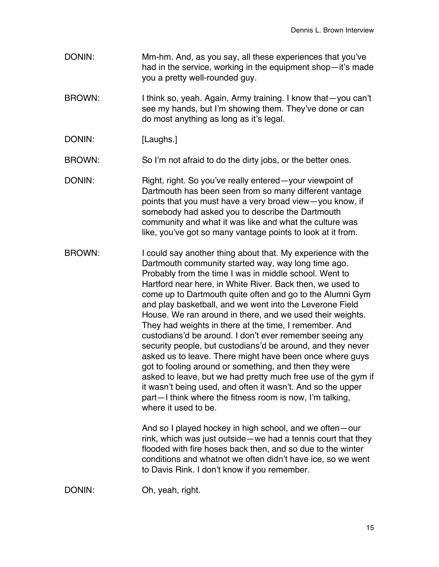- DONIN: Mm-hm. And, as you say, all these experiences that you've had in the service, working in the equipment shop—it's made you a pretty well-rounded guy.
- BROWN: I think so, yeah. Again, Army training. I know that—you can't see my hands, but I'm showing them. They've done or can do most anything as long as it's legal.
- DONIN: [Laughs.]

BROWN: So I'm not afraid to do the dirty jobs, or the better ones.

- DONIN: Right, right. So you've really entered—your viewpoint of Dartmouth has been seen from so many different vantage points that you must have a very broad view—you know, if somebody had asked you to describe the Dartmouth community and what it was like and what the culture was like, you've got so many vantage points to look at it from.
- BROWN: I could say another thing about that. My experience with the Dartmouth community started way, way long time ago. Probably from the time I was in middle school. Went to Hartford near here, in White River. Back then, we used to come up to Dartmouth quite often and go to the Alumni Gym and play basketball, and we went into the Leverone Field House. We ran around in there, and we used their weights. They had weights in there at the time, I remember. And custodians'd be around. I don't ever remember seeing any security people, but custodians'd be around, and they never asked us to leave. There might have been once where guys got to fooling around or something, and then they were asked to leave, but we had pretty much free use of the gym if it wasn't being used, and often it wasn't. And so the upper part—I think where the fitness room is now, I'm talking, where it used to be.

And so I played hockey in high school, and we often—our rink, which was just outside—we had a tennis court that they flooded with fire hoses back then, and so due to the winter conditions and whatnot we often didn't have ice, so we went to Davis Rink. I don't know if you remember.

DONIN: Oh, yeah, right.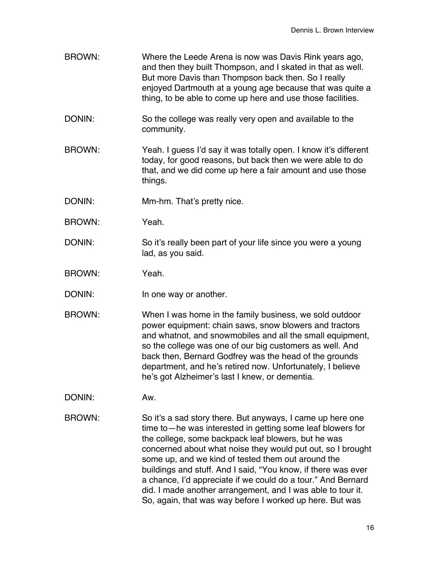- BROWN: Where the Leede Arena is now was Davis Rink years ago, and then they built Thompson, and I skated in that as well. But more Davis than Thompson back then. So I really enjoyed Dartmouth at a young age because that was quite a thing, to be able to come up here and use those facilities.
- DONIN: So the college was really very open and available to the community.
- BROWN: Yeah. I guess I'd say it was totally open. I know it's different today, for good reasons, but back then we were able to do that, and we did come up here a fair amount and use those things.
- DONIN: Mm-hm. That's pretty nice.
- BROWN: Yeah.
- DONIN: So it's really been part of your life since you were a young lad, as you said.
- BROWN: Yeah.
- DONIN: In one way or another.
- BROWN: When I was home in the family business, we sold outdoor power equipment: chain saws, snow blowers and tractors and whatnot, and snowmobiles and all the small equipment, so the college was one of our big customers as well. And back then, Bernard Godfrey was the head of the grounds department, and he's retired now. Unfortunately, I believe he's got Alzheimer's last I knew, or dementia.
- DONIN: Aw.
- BROWN: So it's a sad story there. But anyways, I came up here one time to—he was interested in getting some leaf blowers for the college, some backpack leaf blowers, but he was concerned about what noise they would put out, so I brought some up, and we kind of tested them out around the buildings and stuff. And I said, "You know, if there was ever a chance, I'd appreciate if we could do a tour." And Bernard did. I made another arrangement, and I was able to tour it. So, again, that was way before I worked up here. But was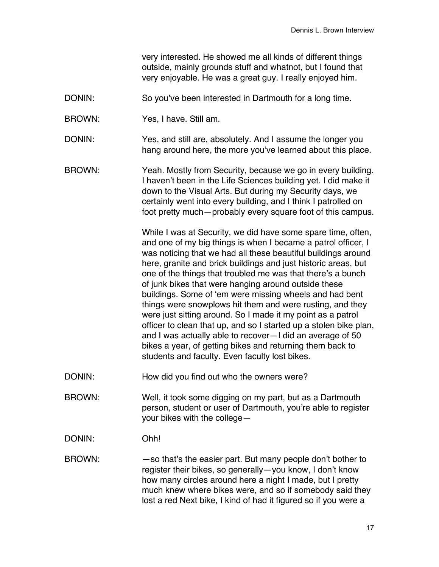very interested. He showed me all kinds of different things outside, mainly grounds stuff and whatnot, but I found that very enjoyable. He was a great guy. I really enjoyed him.

- DONIN: So you've been interested in Dartmouth for a long time.
- BROWN: Yes, I have. Still am.
- DONIN: Yes, and still are, absolutely. And I assume the longer you hang around here, the more you've learned about this place.
- BROWN: Yeah. Mostly from Security, because we go in every building. I haven't been in the Life Sciences building yet. I did make it down to the Visual Arts. But during my Security days, we certainly went into every building, and I think I patrolled on foot pretty much—probably every square foot of this campus.

While I was at Security, we did have some spare time, often, and one of my big things is when I became a patrol officer, I was noticing that we had all these beautiful buildings around here, granite and brick buildings and just historic areas, but one of the things that troubled me was that there's a bunch of junk bikes that were hanging around outside these buildings. Some of 'em were missing wheels and had bent things were snowplows hit them and were rusting, and they were just sitting around. So I made it my point as a patrol officer to clean that up, and so I started up a stolen bike plan, and I was actually able to recover—I did an average of 50 bikes a year, of getting bikes and returning them back to students and faculty. Even faculty lost bikes.

- DONIN: How did you find out who the owners were?
- BROWN: Well, it took some digging on my part, but as a Dartmouth person, student or user of Dartmouth, you're able to register your bikes with the college—
- DONIN: Ohh!
- BROWN: —so that's the easier part. But many people don't bother to register their bikes, so generally—you know, I don't know how many circles around here a night I made, but I pretty much knew where bikes were, and so if somebody said they lost a red Next bike, I kind of had it figured so if you were a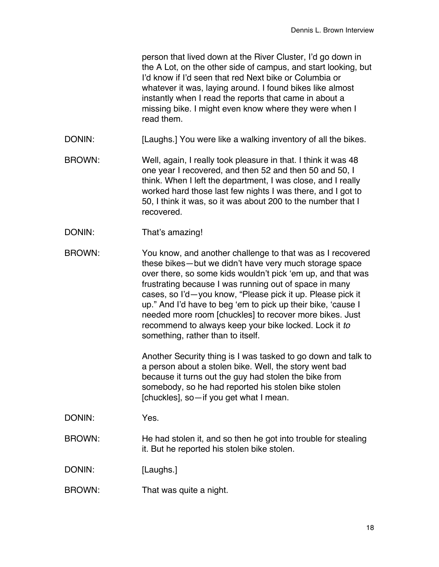person that lived down at the River Cluster, I'd go down in the A Lot, on the other side of campus, and start looking, but I'd know if I'd seen that red Next bike or Columbia or whatever it was, laying around. I found bikes like almost instantly when I read the reports that came in about a missing bike. I might even know where they were when I read them.

- DONIN: [Laughs.] You were like a walking inventory of all the bikes.
- BROWN: Well, again, I really took pleasure in that. I think it was 48 one year I recovered, and then 52 and then 50 and 50, I think. When I left the department, I was close, and I really worked hard those last few nights I was there, and I got to 50, I think it was, so it was about 200 to the number that I recovered.
- DONIN: That's amazing!

BROWN: You know, and another challenge to that was as I recovered these bikes—but we didn't have very much storage space over there, so some kids wouldn't pick 'em up, and that was frustrating because I was running out of space in many cases, so I'd—you know, "Please pick it up. Please pick it up." And I'd have to beg 'em to pick up their bike, 'cause I needed more room [chuckles] to recover more bikes. Just recommend to always keep your bike locked. Lock it *to* something, rather than to itself.

> Another Security thing is I was tasked to go down and talk to a person about a stolen bike. Well, the story went bad because it turns out the guy had stolen the bike from somebody, so he had reported his stolen bike stolen [chuckles], so—if you get what I mean.

- DONIN: Yes.
- BROWN: He had stolen it, and so then he got into trouble for stealing it. But he reported his stolen bike stolen.

DONIN: [Laughs.]

BROWN: That was quite a night.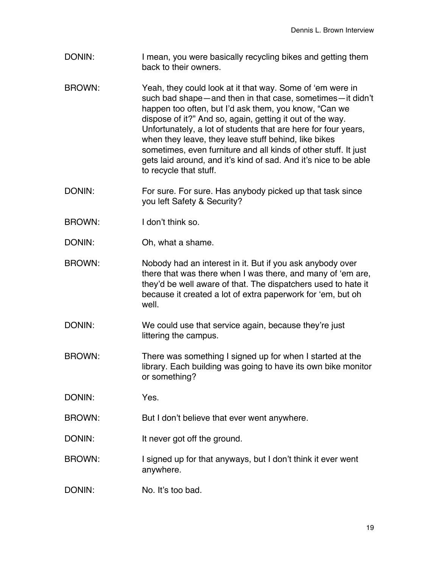- DONIN: I mean, you were basically recycling bikes and getting them back to their owners.
- BROWN: Yeah, they could look at it that way. Some of 'em were in such bad shape—and then in that case, sometimes—it didn't happen too often, but I'd ask them, you know, "Can we dispose of it?" And so, again, getting it out of the way. Unfortunately, a lot of students that are here for four years, when they leave, they leave stuff behind, like bikes sometimes, even furniture and all kinds of other stuff. It just gets laid around, and it's kind of sad. And it's nice to be able to recycle that stuff.
- DONIN: For sure. For sure. Has anybody picked up that task since you left Safety & Security?
- BROWN: I don't think so.
- DONIN: Oh, what a shame.
- BROWN: Nobody had an interest in it. But if you ask anybody over there that was there when I was there, and many of 'em are, they'd be well aware of that. The dispatchers used to hate it because it created a lot of extra paperwork for 'em, but oh well.
- DONIN: We could use that service again, because they're just littering the campus.
- BROWN: There was something I signed up for when I started at the library. Each building was going to have its own bike monitor or something?
- DONIN: Yes.
- BROWN: But I don't believe that ever went anywhere.
- DONIN: It never got off the ground.
- BROWN: I signed up for that anyways, but I don't think it ever went anywhere.
- DONIN: No. It's too bad.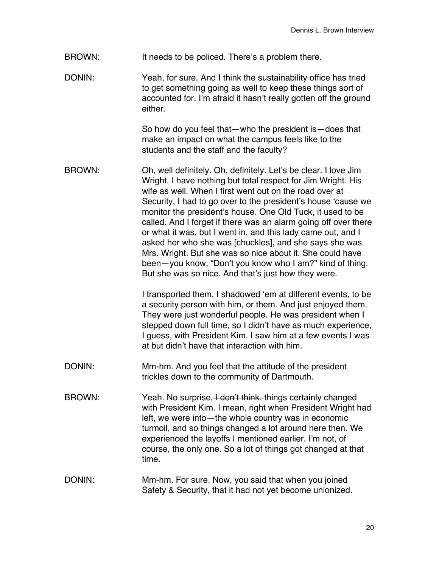- BROWN: It needs to be policed. There's a problem there.
- DONIN: Yeah, for sure. And I think the sustainability office has tried to get something going as well to keep these things sort of accounted for. I'm afraid it hasn't really gotten off the ground either.

So how do you feel that—who the president is—does that make an impact on what the campus feels like to the students and the staff and the faculty?

BROWN: Oh, well definitely. Oh, definitely. Let's be clear. I love Jim Wright. I have nothing but total respect for Jim Wright. His wife as well. When I first went out on the road over at Security, I had to go over to the president's house 'cause we monitor the president's house. One Old Tuck, it used to be called. And I forget if there was an alarm going off over there or what it was, but I went in, and this lady came out, and I asked her who she was [chuckles], and she says she was Mrs. Wright. But she was so nice about it. She could have been—you know, "Don't you know who I am?" kind of thing. But she was so nice. And that's just how they were.

> I transported them. I shadowed 'em at different events, to be a security person with him, or them. And just enjoyed them. They were just wonderful people. He was president when I stepped down full time, so I didn't have as much experience, I guess, with President Kim. I saw him at a few events I was at but didn't have that interaction with him.

- DONIN: Mm-hm. And you feel that the attitude of the president trickles down to the community of Dartmouth.
- BROWN: Yeah. No surprise, Hotan't think. things certainly changed with President Kim. I mean, right when President Wright had left, we were into—the whole country was in economic turmoil, and so things changed a lot around here then. We experienced the layoffs I mentioned earlier. I'm not, of course, the only one. So a lot of things got changed at that time.
- DONIN: Mm-hm. For sure. Now, you said that when you joined Safety & Security, that it had not yet become unionized.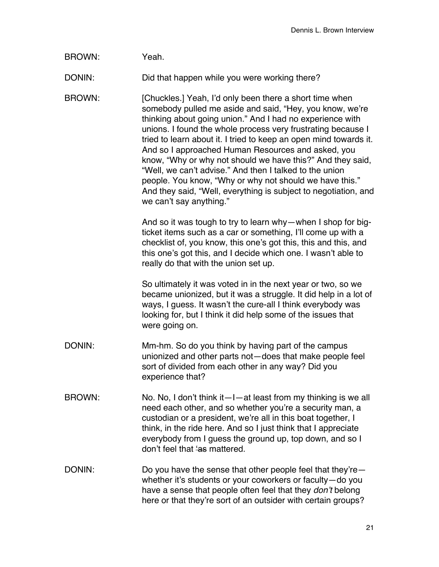BROWN: Yeah.

DONIN: Did that happen while you were working there?

BROWN: [Chuckles.] Yeah, I'd only been there a short time when somebody pulled me aside and said, "Hey, you know, we're thinking about going union." And I had no experience with unions. I found the whole process very frustrating because I tried to learn about it. I tried to keep an open mind towards it. And so I approached Human Resources and asked, you know, "Why or why not should we have this?" And they said, "Well, we can't advise." And then I talked to the union people. You know, "Why or why not should we have this." And they said, "Well, everything is subject to negotiation, and we can't say anything."

> And so it was tough to try to learn why—when I shop for bigticket items such as a car or something, I'll come up with a checklist of, you know, this one's got this, this and this, and this one's got this, and I decide which one. I wasn't able to really do that with the union set up.

> So ultimately it was voted in in the next year or two, so we became unionized, but it was a struggle. It did help in a lot of ways, I guess. It wasn't the cure-all I think everybody was looking for, but I think it did help some of the issues that were going on.

- DONIN: Mm-hm. So do you think by having part of the campus unionized and other parts not—does that make people feel sort of divided from each other in any way? Did you experience that?
- BROWN: No. No, I don't think it—I—at least from my thinking is we all need each other, and so whether you're a security man, a custodian or a president, we're all in this boat together, I think, in the ride here. And so I just think that I appreciate everybody from I guess the ground up, top down, and so I don't feel that 'as mattered.
- DONIN: Do you have the sense that other people feel that they're whether it's students or your coworkers or faculty—do you have a sense that people often feel that they *don't* belong here or that they're sort of an outsider with certain groups?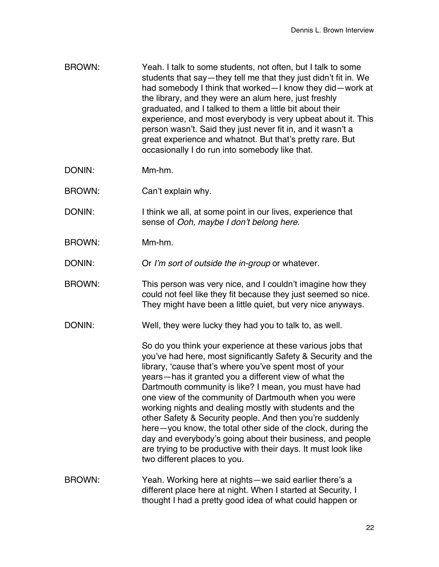- BROWN: Yeah. I talk to some students, not often, but I talk to some students that say—they tell me that they just didn't fit in. We had somebody I think that worked—I know they did—work at the library, and they were an alum here, just freshly graduated, and I talked to them a little bit about their experience, and most everybody is very upbeat about it. This person wasn't. Said they just never fit in, and it wasn't a great experience and whatnot. But that's pretty rare. But occasionally I do run into somebody like that.
- DONIN: Mm-hm.
- BROWN: Can't explain why.
- DONIN: I think we all, at some point in our lives, experience that sense of *Ooh, maybe I don't belong here*.
- BROWN: Mm-hm.
- DONIN: Or *I'm sort of outside the in-group* or whatever.
- BROWN: This person was very nice, and I couldn't imagine how they could not feel like they fit because they just seemed so nice. They might have been a little quiet, but very nice anyways.
- DONIN: Well, they were lucky they had you to talk to, as well.

So do you think your experience at these various jobs that you've had here, most significantly Safety & Security and the library, 'cause that's where you've spent most of your years—has it granted you a different view of what the Dartmouth community is like? I mean, you must have had one view of the community of Dartmouth when you were working nights and dealing mostly with students and the other Safety & Security people. And then you're suddenly here—you know, the total other side of the clock, during the day and everybody's going about their business, and people are trying to be productive with their days. It must look like two different places to you.

BROWN: Yeah. Working here at nights—we said earlier there's a different place here at night. When I started at Security, I thought I had a pretty good idea of what could happen or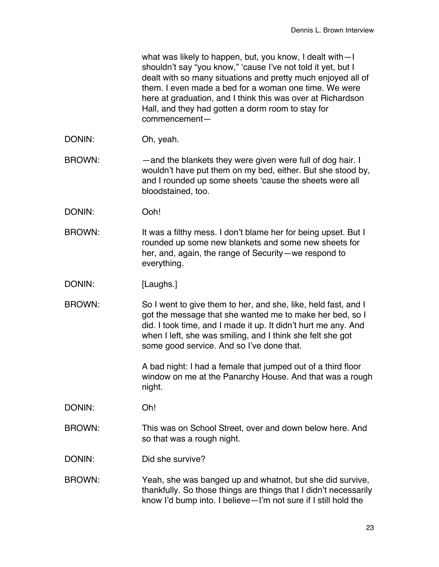| what was likely to happen, but, you know, I dealt with-I     |
|--------------------------------------------------------------|
| shouldn't say "you know," 'cause I've not told it yet, but I |
| dealt with so many situations and pretty much enjoyed all of |
| them. I even made a bed for a woman one time. We were        |
| here at graduation, and I think this was over at Richardson  |
| Hall, and they had gotten a dorm room to stay for            |
| commencement-                                                |

- DONIN: Oh, yeah.
- BROWN: —and the blankets they were given were full of dog hair. I wouldn't have put them on my bed, either. But she stood by, and I rounded up some sheets 'cause the sheets were all bloodstained, too.
- DONIN: Ooh!
- BROWN: It was a filthy mess. I don't blame her for being upset. But I rounded up some new blankets and some new sheets for her, and, again, the range of Security—we respond to everything.
- DONIN: [Laughs.]
- BROWN: So I went to give them to her, and she, like, held fast, and I got the message that she wanted me to make her bed, so I did. I took time, and I made it up. It didn't hurt me any. And when I left, she was smiling, and I think she felt she got some good service. And so I've done that.

A bad night: I had a female that jumped out of a third floor window on me at the Panarchy House. And that was a rough night.

- DONIN: Oh!
- BROWN: This was on School Street, over and down below here. And so that was a rough night.
- DONIN: Did she survive?
- BROWN: Yeah, she was banged up and whatnot, but she did survive, thankfully. So those things are things that I didn't necessarily know I'd bump into. I believe—I'm not sure if I still hold the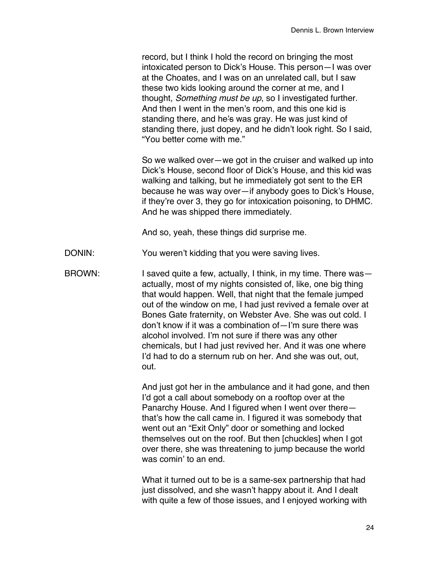record, but I think I hold the record on bringing the most intoxicated person to Dick's House. This person—I was over at the Choates, and I was on an unrelated call, but I saw these two kids looking around the corner at me, and I thought, *Something must be up*, so I investigated further. And then I went in the men's room, and this one kid is standing there, and he's was gray. He was just kind of standing there, just dopey, and he didn't look right. So I said, "You better come with me."

So we walked over—we got in the cruiser and walked up into Dick's House, second floor of Dick's House, and this kid was walking and talking, but he immediately got sent to the ER because he was way over—if anybody goes to Dick's House, if they're over 3, they go for intoxication poisoning, to DHMC. And he was shipped there immediately.

And so, yeah, these things did surprise me.

DONIN: You weren't kidding that you were saving lives.

BROWN: I saved quite a few, actually, I think, in my time. There was actually, most of my nights consisted of, like, one big thing that would happen. Well, that night that the female jumped out of the window on me, I had just revived a female over at Bones Gate fraternity, on Webster Ave. She was out cold. I don't know if it was a combination of—I'm sure there was alcohol involved. I'm not sure if there was any other chemicals, but I had just revived her. And it was one where I'd had to do a sternum rub on her. And she was out, out, out.

> And just got her in the ambulance and it had gone, and then I'd got a call about somebody on a rooftop over at the Panarchy House. And I figured when I went over there that's how the call came in. I figured it was somebody that went out an "Exit Only" door or something and locked themselves out on the roof. But then [chuckles] when I got over there, she was threatening to jump because the world was comin' to an end.

What it turned out to be is a same-sex partnership that had just dissolved, and she wasn't happy about it. And I dealt with quite a few of those issues, and I enjoyed working with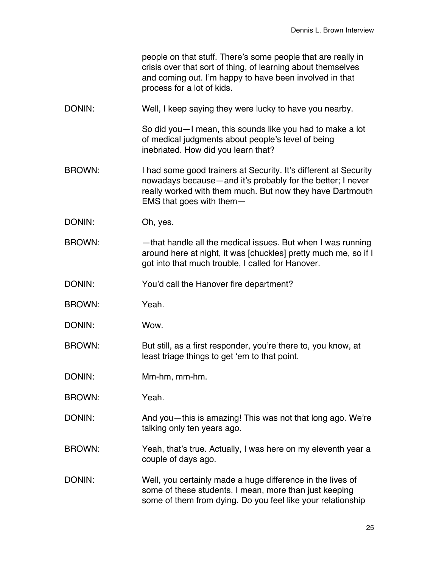people on that stuff. There's some people that are really in crisis over that sort of thing, of learning about themselves and coming out. I'm happy to have been involved in that process for a lot of kids.

DONIN: Well, I keep saying they were lucky to have you nearby.

So did you—I mean, this sounds like you had to make a lot of medical judgments about people's level of being inebriated. How did you learn that?

- BROWN: I had some good trainers at Security. It's different at Security nowadays because—and it's probably for the better; I never really worked with them much. But now they have Dartmouth EMS that goes with them—
- DONIN: Oh, yes.
- BROWN: —that handle all the medical issues. But when I was running around here at night, it was [chuckles] pretty much me, so if I got into that much trouble, I called for Hanover.
- DONIN: You'd call the Hanover fire department?
- BROWN: Yeah.
- DONIN: Wow.
- BROWN: But still, as a first responder, you're there to, you know, at least triage things to get 'em to that point.
- DONIN: Mm-hm, mm-hm.
- BROWN: Yeah.
- DONIN: And you—this is amazing! This was not that long ago. We're talking only ten years ago.
- BROWN: Yeah, that's true. Actually, I was here on my eleventh year a couple of days ago.
- DONIN: Well, you certainly made a huge difference in the lives of some of these students. I mean, more than just keeping some of them from dying. Do you feel like your relationship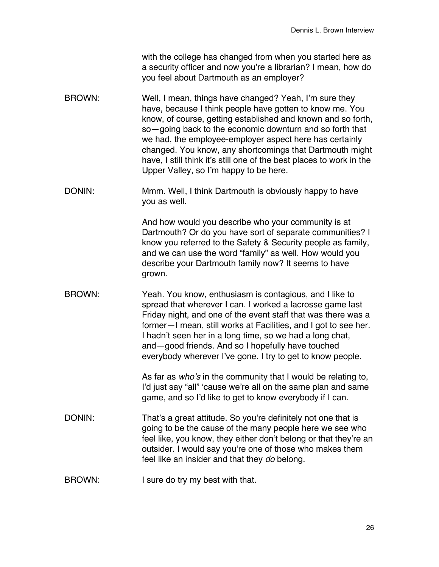with the college has changed from when you started here as a security officer and now you're a librarian? I mean, how do you feel about Dartmouth as an employer?

- BROWN: Well, I mean, things have changed? Yeah, I'm sure they have, because I think people have gotten to know me. You know, of course, getting established and known and so forth, so—going back to the economic downturn and so forth that we had, the employee-employer aspect here has certainly changed. You know, any shortcomings that Dartmouth might have, I still think it's still one of the best places to work in the Upper Valley, so I'm happy to be here.
- DONIN: Mmm. Well, I think Dartmouth is obviously happy to have you as well.

And how would you describe who your community is at Dartmouth? Or do you have sort of separate communities? I know you referred to the Safety & Security people as family, and we can use the word "family" as well. How would you describe your Dartmouth family now? It seems to have grown.

BROWN: Yeah. You know, enthusiasm is contagious, and I like to spread that wherever I can. I worked a lacrosse game last Friday night, and one of the event staff that was there was a former—I mean, still works at Facilities, and I got to see her. I hadn't seen her in a long time, so we had a long chat, and—good friends. And so I hopefully have touched everybody wherever I've gone. I try to get to know people.

> As far as *who's* in the community that I would be relating to, I'd just say "all" 'cause we're all on the same plan and same game, and so I'd like to get to know everybody if I can.

- DONIN: That's a great attitude. So you're definitely not one that is going to be the cause of the many people here we see who feel like, you know, they either don't belong or that they're an outsider. I would say you're one of those who makes them feel like an insider and that they *do* belong.
- BROWN: I sure do try my best with that.